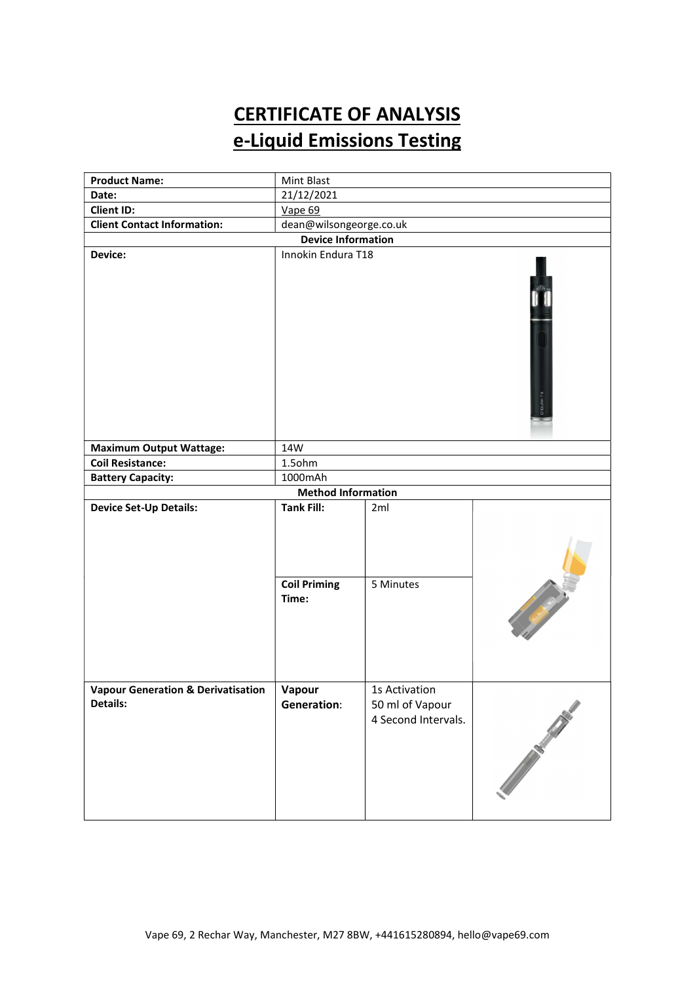# CERTIFICATE OF ANALYSIS e-Liquid Emissions Testing

| <b>Product Name:</b>                                      | Mint Blast                                   |                                                         |                                                                                                                      |  |  |
|-----------------------------------------------------------|----------------------------------------------|---------------------------------------------------------|----------------------------------------------------------------------------------------------------------------------|--|--|
| Date:                                                     | 21/12/2021                                   |                                                         |                                                                                                                      |  |  |
| <b>Client ID:</b>                                         | Vape 69                                      |                                                         |                                                                                                                      |  |  |
| <b>Client Contact Information:</b>                        | dean@wilsongeorge.co.uk                      |                                                         |                                                                                                                      |  |  |
| <b>Device Information</b>                                 |                                              |                                                         |                                                                                                                      |  |  |
| Device:                                                   | Innokin Endura T18<br>ENDURA T <sub>18</sub> |                                                         |                                                                                                                      |  |  |
| <b>Maximum Output Wattage:</b>                            | 14W                                          |                                                         |                                                                                                                      |  |  |
| <b>Coil Resistance:</b>                                   | 1.5ohm                                       |                                                         |                                                                                                                      |  |  |
| <b>Battery Capacity:</b>                                  | 1000mAh                                      |                                                         |                                                                                                                      |  |  |
|                                                           | <b>Method Information</b>                    |                                                         |                                                                                                                      |  |  |
| <b>Device Set-Up Details:</b>                             | <b>Tank Fill:</b>                            | 2ml                                                     |                                                                                                                      |  |  |
|                                                           | <b>Coil Priming</b><br>Time:                 | 5 Minutes                                               | <b>Contract Contract Contract Contract Contract Contract Contract Contract Contract Contract Contract Contract C</b> |  |  |
| <b>Vapour Generation &amp; Derivatisation</b><br>Details: | Vapour<br><b>Generation:</b>                 | 1s Activation<br>50 ml of Vapour<br>4 Second Intervals. | Charles Company of the Company of                                                                                    |  |  |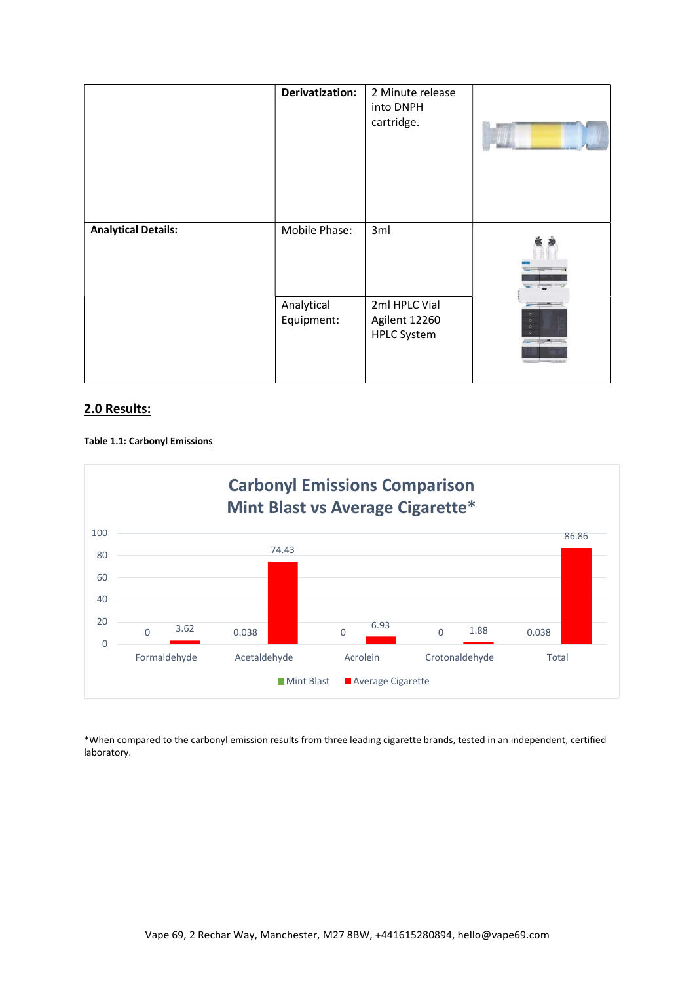|                            | Derivatization:          | 2 Minute release<br>into DNPH<br>cartridge.          |  |
|----------------------------|--------------------------|------------------------------------------------------|--|
| <b>Analytical Details:</b> | Mobile Phase:            | 3ml                                                  |  |
|                            | Analytical<br>Equipment: | 2ml HPLC Vial<br>Agilent 12260<br><b>HPLC System</b> |  |

# 2.0 Results:

### Table 1.1: Carbonyl Emissions



\*When compared to the carbonyl emission results from three leading cigarette brands, tested in an independent, certified laboratory.